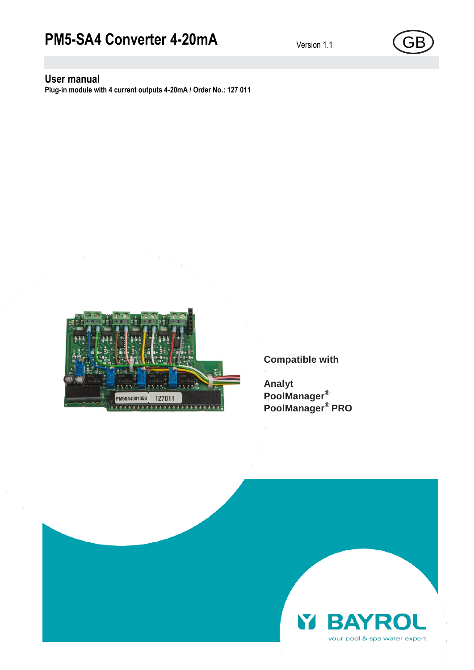# **PM5-SA4 Converter 4-20mA** Version 1.1



**User manual Plug-in module with 4 current outputs 4-20mA / Order No.: 127 011**



**Compatible with**

**Analyt PoolManager® PoolManager® PRO**

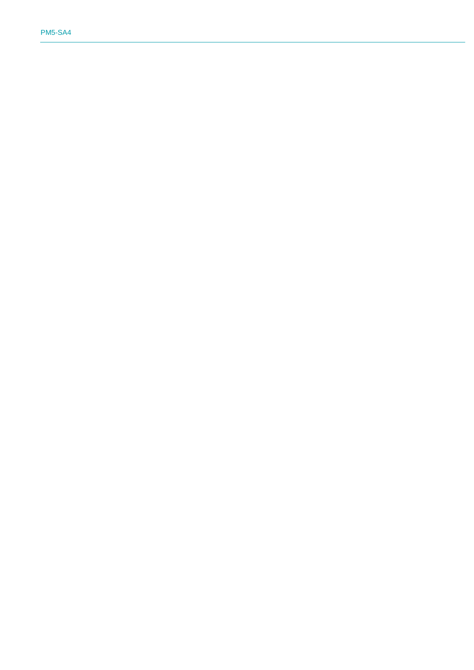PM5-SA4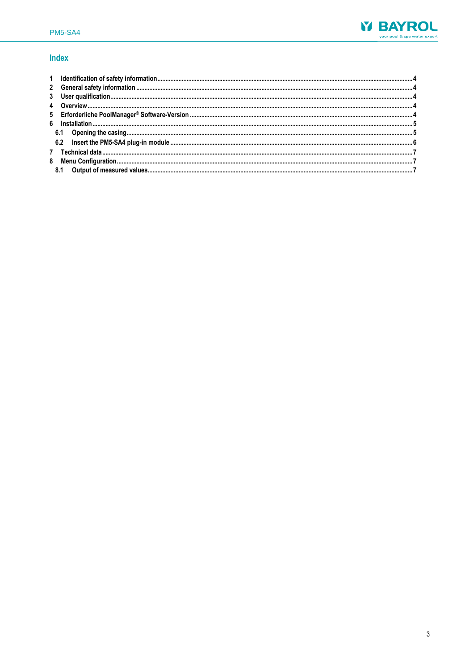

# **Index**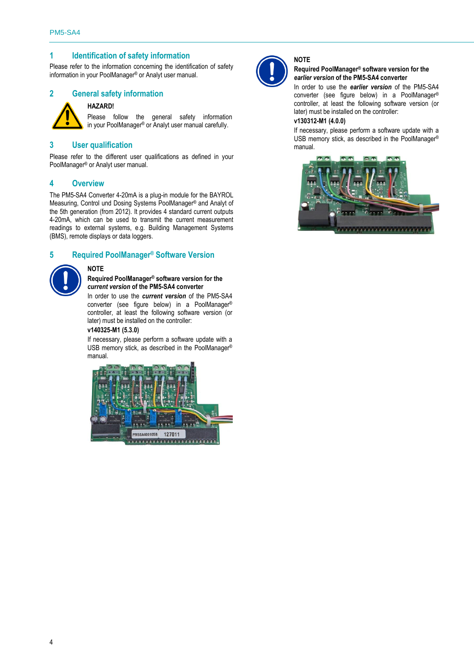# <span id="page-3-0"></span>**1 Identification of safety information**

Please refer to the information concerning the identification of safety information in your PoolManager® or Analyt user manual.

## <span id="page-3-1"></span>**2 General safety information**

## **HAZARD!**

Please follow the general safety information in your PoolManager® or Analyt user manual carefully.

## <span id="page-3-2"></span>**3 User qualification**

Please refer to the different user qualifications as defined in your PoolManager® or Analyt user manual.

#### <span id="page-3-3"></span>**4 Overview**

The PM5-SA4 Converter 4-20mA is a plug-in module for the BAYROL Measuring, Control und Dosing Systems PoolManager® and Analyt of the 5th generation (from 2012). It provides 4 standard current outputs 4-20mA, which can be used to transmit the current measurement readings to external systems, e.g. Building Management Systems (BMS), remote displays or data loggers.

### <span id="page-3-4"></span>**5 Required PoolManager® Software Version**



# **NOTE Required PoolManager® software version for the**

*current version* **of the PM5-SA4 converter** In order to use the *current version* of the PM5-SA4 converter (see figure below) in a PoolManager® controller, at least the following software version (or later) must be installed on the controller:

## **v140325-M1 (5.3.0)**

If necessary, please perform a software update with a USB memory stick, as described in the PoolManager® manual.





#### **Required PoolManager® software version for the**  *earlier version* **of the PM5-SA4 converter**

In order to use the *earlier version* of the PM5-SA4 converter (see figure below) in a PoolManager® controller, at least the following software version (or later) must be installed on the controller:

#### **v130312-M1 (4.0.0)**

**NOTE**

If necessary, please perform a software update with a USB memory stick, as described in the PoolManager® manual.

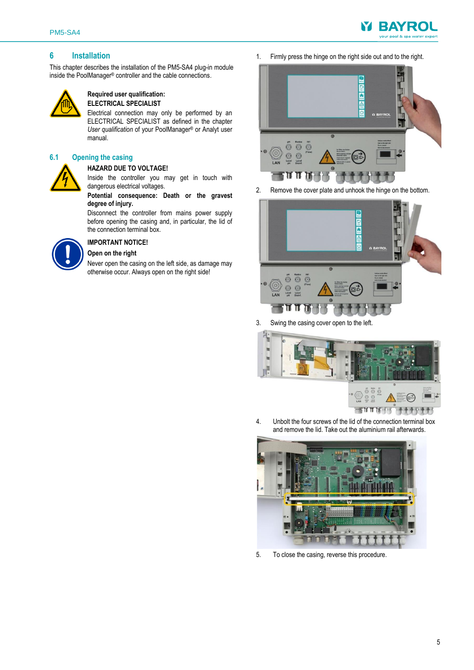

# <span id="page-4-0"></span>**6 Installation**

This chapter describes the installation of the PM5-SA4 plug-in module inside the PoolManager® controller and the cable connections.



#### **Required user qualification: ELECTRICAL SPECIALIST**

Electrical connection may only be performed by an ELECTRICAL SPECIALIST as defined in the chapter *User qualification* of your PoolManager® or Analyt user manual.

## <span id="page-4-1"></span>**6.1 Opening the casing**



## **HAZARD DUE TO VOLTAGE!**

Inside the controller you may get in touch with dangerous electrical voltages.

#### **Potential consequence: Death or the gravest degree of injury.**

Disconnect the controller from mains power supply before opening the casing and, in particular, the lid of the connection terminal box.



## **IMPORTANT NOTICE!**

#### **Open on the right**

Never open the casing on the left side, as damage may otherwise occur. Always open on the right side!

1. Firmly press the hinge on the right side out and to the right.



2. Remove the cover plate and unhook the hinge on the bottom.



3. Swing the casing cover open to the left.



4. Unbolt the four screws of the lid of the connection terminal box and remove the lid. Take out the aluminium rail afterwards.



5. To close the casing, reverse this procedure.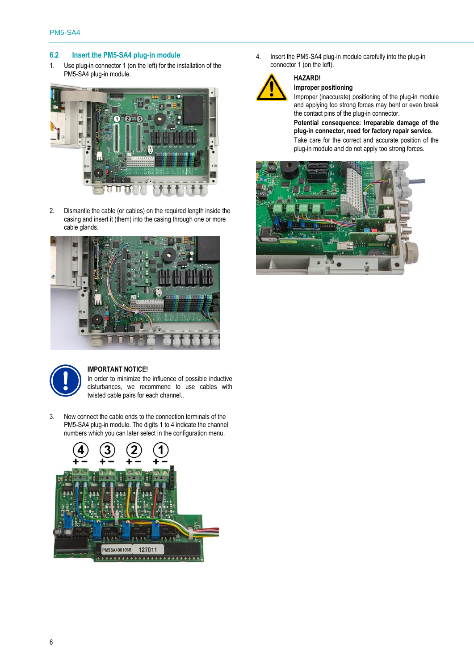#### <span id="page-5-0"></span>**6.2 Insert the PM5-SA4 plug-in module**

1. Use plug-in connector 1 (on the left) for the installation of the PM5-SA4 plug-in module.



2. Dismantle the cable (or cables) on the required length inside the casing and insert it (them) into the casing through one or more cable glands.





#### **IMPORTANT NOTICE!**

In order to minimize the influence of possible inductive disturbances, we recommend to use cables with twisted cable pairs for each channel..

3. Now connect the cable ends to the connection terminals of the PM5-SA4 plug-in module. The digits 1 to 4 indicate the channel numbers which you can later select in the configuration menu.



4. Insert the PM5-SA4 plug-in module carefully into the plug-in connector 1 (on the left).



## **Improper positioning**

**HAZARD!**

Improper (inaccurate) positioning of the plug-in module and applying too strong forces may bent or even break the contact pins of the plug-in connector.

**Potential consequence: Irreparable damage of the plug-in connector, need for factory repair service.** Take care for the correct and accurate position of the plug-in module and do not apply too strong forces.